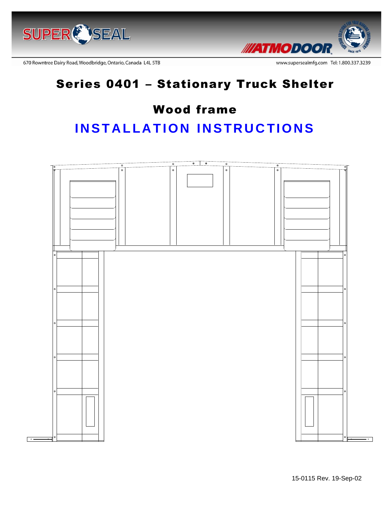



670 Rowntree Dairy Road, Woodbridge, Ontario, Canada L4L 5TB

# Series 0401 – Stationary Truck Shelter

## Wood frame

# **INSTALLATION INSTRUCTIONS**

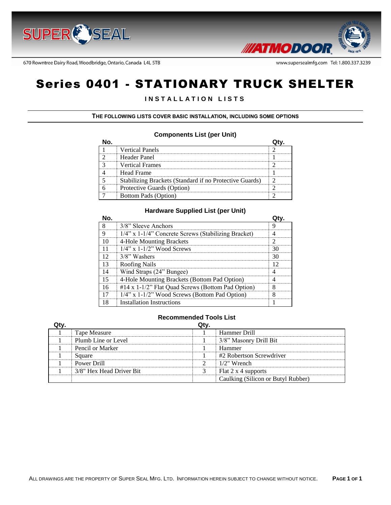



670 Rowntree Dairy Road, Woodbridge, Ontario, Canada L4L 5TB

# Series 0401 - STATIONARY TRUCK SHELTER

#### **I N S T A L L A T I O N L I S T S**

**THE FOLLOWING LISTS COVER BASIC INSTALLATION, INCLUDING SOME OPTIONS**

#### **Components List (per Unit)**

| <b>Vertical Panels</b>                                  |  |
|---------------------------------------------------------|--|
| Header Panel                                            |  |
| <b>Vertical Frames</b>                                  |  |
| Head Frame                                              |  |
| Stabilizing Brackets (Standard if no Protective Guards) |  |
| Protective Guards (Option)                              |  |
| <b>Bottom Pads (Option)</b>                             |  |

#### **Hardware Supplied List (per Unit)**

|    | 3/8" Sleeve Anchors                                 |  |
|----|-----------------------------------------------------|--|
| Q  | 1/4" x 1-1/4" Concrete Screws (Stabilizing Bracket) |  |
|    | 4-Hole Mounting Brackets                            |  |
|    | $1/4$ " x $1-1/2$ " Wood Screws                     |  |
|    | 3/8" Washers                                        |  |
| 13 | Roofing Nails                                       |  |
|    | Wind Straps (24" Bungee)                            |  |
|    | 4-Hole Mounting Brackets (Bottom Pad Option)        |  |
| 16 | #14 x 1-1/2" Flat Quad Screws (Bottom Pad Option)   |  |
|    | $1/4$ " x $1-1/2$ " Wood Screws (Bottom Pad Option) |  |
|    | <b>Installation Instructions</b>                    |  |

#### **Recommended Tools List**

| Qty. |                          | Qtv. |                                    |
|------|--------------------------|------|------------------------------------|
|      | Tape Measure             |      | Hammer Drill                       |
|      | Plumb Line or Level      |      | 3/8" Masonry Drill Bit             |
|      | Pencil or Marker         |      | Hammer                             |
|      | Square                   |      | #2 Robertson Screwdriver           |
|      | Power Drill              |      | $1/2$ " Wrench                     |
|      | 3/8" Hex Head Driver Bit |      | Flat 2 x 4 supports                |
|      |                          |      | Caulking (Silicon or Butyl Rubber) |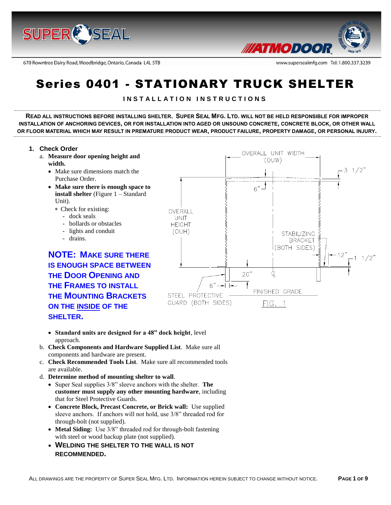

670 Rowntree Dairy Road, Woodbridge, Ontario, Canada L4L 5TB



www.supersealmfg.com Tel: 1.800.337.3239

# Series 0401 - STATIONARY TRUCK SHELTER

#### **I N S T A L L A T I O N I N S T R U C T I O N S**

**READ ALL INSTRUCTIONS BEFORE INSTALLING SHELTER. SUPER SEAL MFG. LTD. WILL NOT BE HELD RESPONSIBLE FOR IMPROPER INSTALLATION OF ANCHORING DEVICES, OR FOR INSTALLATION INTO AGED OR UNSOUND CONCRETE, CONCRETE BLOCK, OR OTHER WALL OR FLOOR MATERIAL WHICH MAY RESULT IN PREMATURE PRODUCT WEAR, PRODUCT FAILURE, PROPERTY DAMAGE, OR PERSONAL INJURY.**

#### **1. Check Order**

- a. **Measure door opening height and width.**
	- Make sure dimensions match the Purchase Order.
	- **Make sure there is enough space to install shelter** (Figure 1 – Standard Unit).
		- Check for existing:
			- dock seals
			- bollards or obstacles
			- lights and conduit
			- drains.

**NOTE: MAKE SURE THERE IS ENOUGH SPACE BETWEEN THE DOOR OPENING AND THE FRAMES TO INSTALL THE MOUNTING BRACKETS ON THE INSIDE OF THE SHELTER.**



- **Standard units are designed for a 48" dock height**, level approach.
- b. **Check Components and Hardware Supplied List**. Make sure all components and hardware are present.
- c. **Check Recommended Tools List**. Make sure all recommended tools are available.
- d. **Determine method of mounting shelter to wall**.
	- Super Seal supplies 3/8" sleeve anchors with the shelter. **The customer must supply any other mounting hardware**, including that for Steel Protective Guards.
	- **Concrete Block, Precast Concrete, or Brick wall:** Use supplied sleeve anchors. If anchors will not hold, use 3/8" threaded rod for through-bolt (not supplied).
	- **Metal Siding:** Use 3/8" threaded rod for through-bolt fastening with steel or wood backup plate (not supplied).
	- **WELDING THE SHELTER TO THE WALL IS NOT RECOMMENDED.**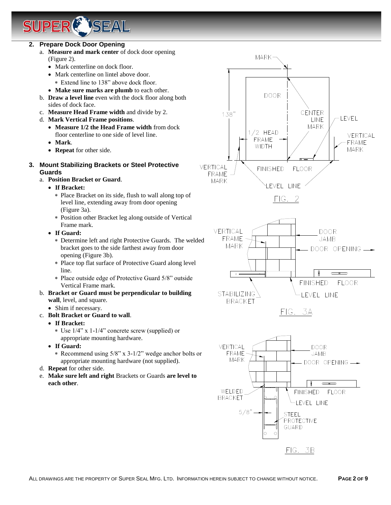#### **2. Prepare Dock Door Opening**

a. **Measure and mark center** of dock door opening (Figure 2).

**TSEAL** 

- Mark centerline on dock floor.
- Mark centerline on lintel above door.
	- Extend line to 138" above dock floor.
- **Make sure marks are plumb** to each other.
- b. **Draw a level line** even with the dock floor along both sides of dock face.
- c. **Measure Head Frame width** and divide by 2.
- d. **Mark Vertical Frame positions**.
	- **Measure 1/2 the Head Frame width** from dock floor centerline to one side of level line.
	- **Mark**.
	- **Repeat** for other side.
- **3. Mount Stabilizing Brackets or Steel Protective Guards**
	- a. **Position Bracket or Guard**.
		- **If Bracket:**
			- Place Bracket on its side, flush to wall along top of level line, extending away from door opening (Figure 3a).
			- Position other Bracket leg along outside of Vertical Frame mark.
		- **If Guard:**
			- Determine left and right Protective Guards. The welded bracket goes to the side farthest away from door opening (Figure 3b).
			- Place top flat surface of Protective Guard along level line.
			- Place outside edge of Protective Guard 5/8" outside Vertical Frame mark.
	- b. **Bracket or Guard must be perpendicular to building wall**, level, and square.
		- Shim if necessary.
	- c. **Bolt Bracket or Guard to wall**.
		- **If Bracket:**
			- \* Use  $1/4$ " x  $1-1/4$ " concrete screw (supplied) or appropriate mounting hardware.
		- **If Guard:**
			- Recommend using 5/8" x 3-1/2" wedge anchor bolts or appropriate mounting hardware (not supplied).
	- d. **Repeat** for other side.
	- e. **Make sure left and right** Brackets or Guards **are level to each other**.

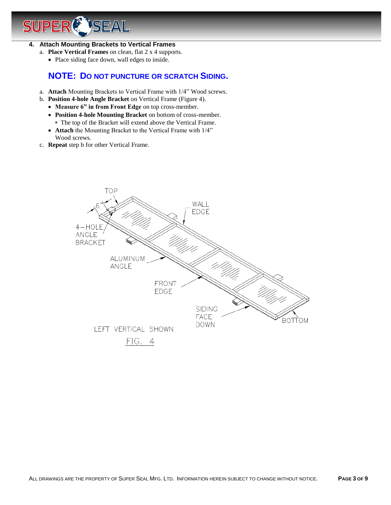## **SEAL** SI

#### **4. Attach Mounting Brackets to Vertical Frames**

- a. **Place Vertical Frames** on clean, flat 2 x 4 supports.
	- Place siding face down, wall edges to inside.

## **NOTE: DO NOT PUNCTURE OR SCRATCH SIDING.**

- a. **Attach** Mounting Brackets to Vertical Frame with 1/4" Wood screws.
- b. **Position 4-hole Angle Bracket** on Vertical Frame (Figure 4).
	- **Measure 6" in from Front Edge** on top cross-member.
	- **Position 4-hole Mounting Bracket** on bottom of cross-member. The top of the Bracket will extend above the Vertical Frame.
	- **Attach** the Mounting Bracket to the Vertical Frame with 1/4" Wood screws.
- c. **Repeat** step b for other Vertical Frame.

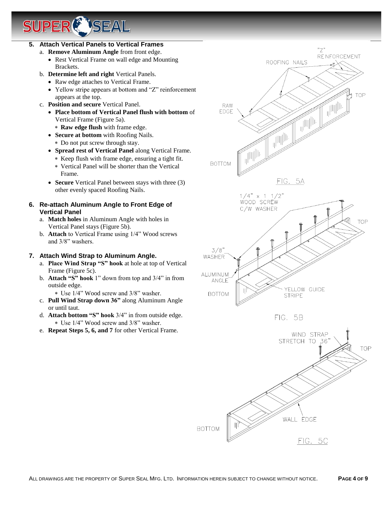# *USEAL*

#### **5. Attach Vertical Panels to Vertical Frames**

- a. **Remove Aluminum Angle** from front edge.
	- Rest Vertical Frame on wall edge and Mounting Brackets.
- b. **Determine left and right** Vertical Panels.
	- Raw edge attaches to Vertical Frame.
	- Yellow stripe appears at bottom and "Z" reinforcement appears at the top.
- c. **Position and secure** Vertical Panel.
	- **Place bottom of Vertical Panel flush with bottom** of Vertical Frame (Figure 5a).
		- **Raw edge flush** with frame edge.
	- **Secure at bottom** with Roofing Nails.
		- Do not put screw through stay.
	- **Spread rest of Vertical Panel** along Vertical Frame.
		- Keep flush with frame edge, ensuring a tight fit.
		- Vertical Panel will be shorter than the Vertical Frame.
	- **Secure** Vertical Panel between stays with three (3) other evenly spaced Roofing Nails.

#### **6. Re-attach Aluminum Angle to Front Edge of Vertical Panel**

- a. **Match holes** in Aluminum Angle with holes in Vertical Panel stays (Figure 5b).
- b. **Attach** to Vertical Frame using 1/4" Wood screws and 3/8" washers.

#### **7. Attach Wind Strap to Aluminum Angle.**

- a. **Place Wind Strap "S" hook** at hole at top of Vertical Frame (Figure 5c).
- b. **Attach "S" hook** 1" down from top and 3/4" in from outside edge.

Use 1/4" Wood screw and 3/8" washer.

- c. **Pull Wind Strap down 36"** along Aluminum Angle or until taut.
- d. **Attach bottom "S" hook** 3/4" in from outside edge. Use 1/4" Wood screw and 3/8" washer.
- e. **Repeat Steps 5, 6, and 7** for other Vertical Frame.



FIG. 5C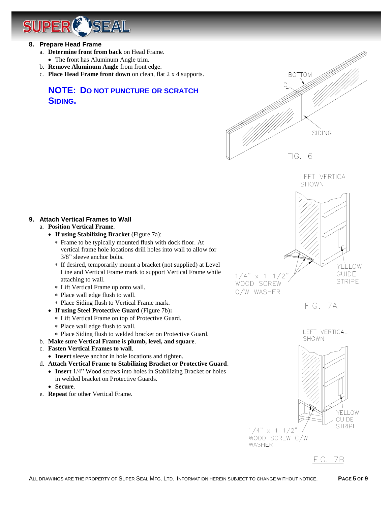

- **8. Prepare Head Frame**
	- a. **Determine front from back** on Head Frame.
	- The front has Aluminum Angle trim.
	- b. **Remove Aluminum Angle** from front edge.
	- c. **Place Head Frame front down** on clean, flat 2 x 4 supports.

## **NOTE: DO NOT PUNCTURE OR SCRATCH SIDING.**





#### **9. Attach Vertical Frames to Wall**

- a. **Position Vertical Frame**.
	- **If using Stabilizing Bracket** (Figure 7a):
		- Frame to be typically mounted flush with dock floor. At vertical frame hole locations drill holes into wall to allow for 3/8" sleeve anchor bolts.
		- If desired, temporarily mount a bracket (not supplied) at Level Line and Vertical Frame mark to support Vertical Frame while attaching to wall.
		- Lift Vertical Frame up onto wall.
		- Place wall edge flush to wall.
		- Place Siding flush to Vertical Frame mark.
	- **If using Steel Protective Guard** (Figure 7b)**:**
		- Lift Vertical Frame on top of Protective Guard.
		- Place wall edge flush to wall.
		- Place Siding flush to welded bracket on Protective Guard.
- b. **Make sure Vertical Frame is plumb, level, and square**.
- c. **Fasten Vertical Frames to wall**.
	- **Insert** sleeve anchor in hole locations and tighten.
- d. **Attach Vertical Frame to Stabilizing Bracket or Protective Guard**.
	- **Insert** 1/4" Wood screws into holes in Stabilizing Bracket or holes in welded bracket on Protective Guards.
	- **Secure**.
- e. **Repeat** for other Vertical Frame.



FIG. 7A





FIG. 7B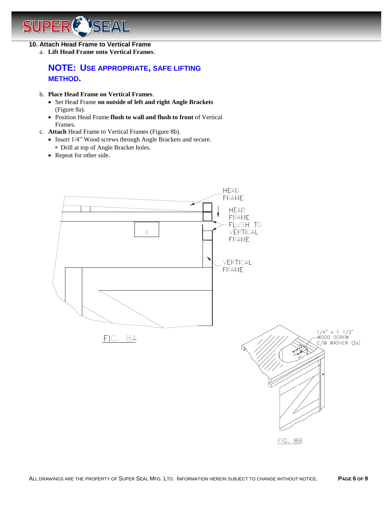#### *SEAL* JPER Sl

#### **10. Attach Head Frame to Vertical Frame**

a. **Lift Head Frame onto Vertical Frames**.

## **NOTE: USE APPROPRIATE, SAFE LIFTING METHOD.**

- b. **Place Head Frame on Vertical Frames**.
	- Set Head Frame **on outside of left and right Angle Brackets** (Figure 8a).
	- Position Head Frame **flush to wall and flush to front** of Vertical Frames.
- c. **Attach** Head Frame to Vertical Frames (Figure 8b).
	- Insert  $1/4$ " Wood screws through Angle Brackets and secure. Drill at top of Angle Bracket holes.
	- Repeat for other side.

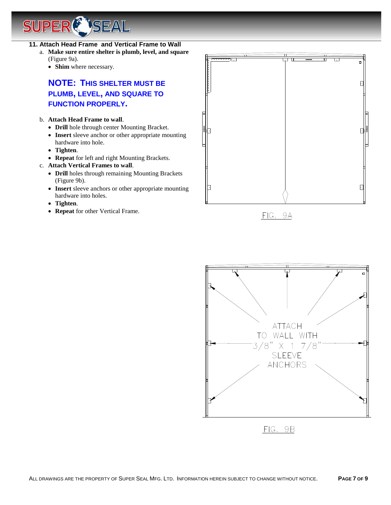SUPER **ENSEAL** 

- **11. Attach Head Frame and Vertical Frame to Wall**
	- a. **Make sure entire shelter is plumb, level, and square** (Figure 9a).
		- **Shim** where necessary.

## **NOTE: THIS SHELTER MUST BE PLUMB, LEVEL, AND SQUARE TO FUNCTION PROPERLY.**

#### b. **Attach Head Frame to wall**.

- **Drill** hole through center Mounting Bracket.
- **Insert** sleeve anchor or other appropriate mounting hardware into hole.
- **Tighten**.
- **Repeat** for left and right Mounting Brackets.
- c. **Attach Vertical Frames to wall**.
	- **Drill** holes through remaining Mounting Brackets (Figure 9b).
	- **Insert** sleeve anchors or other appropriate mounting hardware into holes.
	- **Tighten**.
	- **Repeat** for other Vertical Frame.





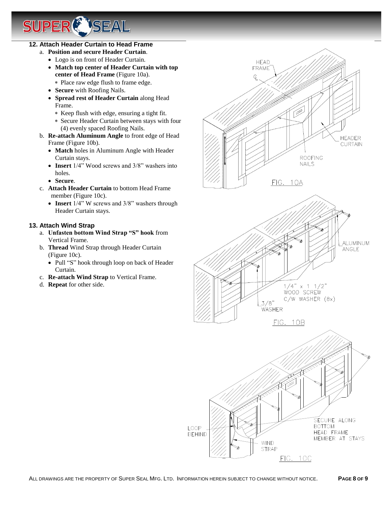#### **12. Attach Header Curtain to Head Frame**

SI

IPER

- a. **Position and secure Header Curtain**.
	- Logo is on front of Header Curtain.

**TSEAL** 

- **Match top center of Header Curtain with top center of Head Frame** (Figure 10a).
- Place raw edge flush to frame edge.
- **Secure** with Roofing Nails.
- **Spread rest of Header Curtain** along Head Frame.
	- Keep flush with edge, ensuring a tight fit.
	- Secure Header Curtain between stays with four (4) evenly spaced Roofing Nails.
- b. **Re-attach Aluminum Angle** to front edge of Head Frame (Figure 10b).
	- **Match** holes in Aluminum Angle with Header Curtain stays.
	- **Insert** 1/4" Wood screws and 3/8" washers into holes.
	- **Secure**.
- c. **Attach Header Curtain** to bottom Head Frame member (Figure 10c).
	- **Insert** 1/4" W screws and 3/8" washers through Header Curtain stays.

#### **13. Attach Wind Strap**

- a. **Unfasten bottom Wind Strap "S" hook** from Vertical Frame.
- b. **Thread** Wind Strap through Header Curtain (Figure 10c).
	- Pull "S" hook through loop on back of Header Curtain.
- c. **Re-attach Wind Strap** to Vertical Frame.
- d. **Repeat** for other side.